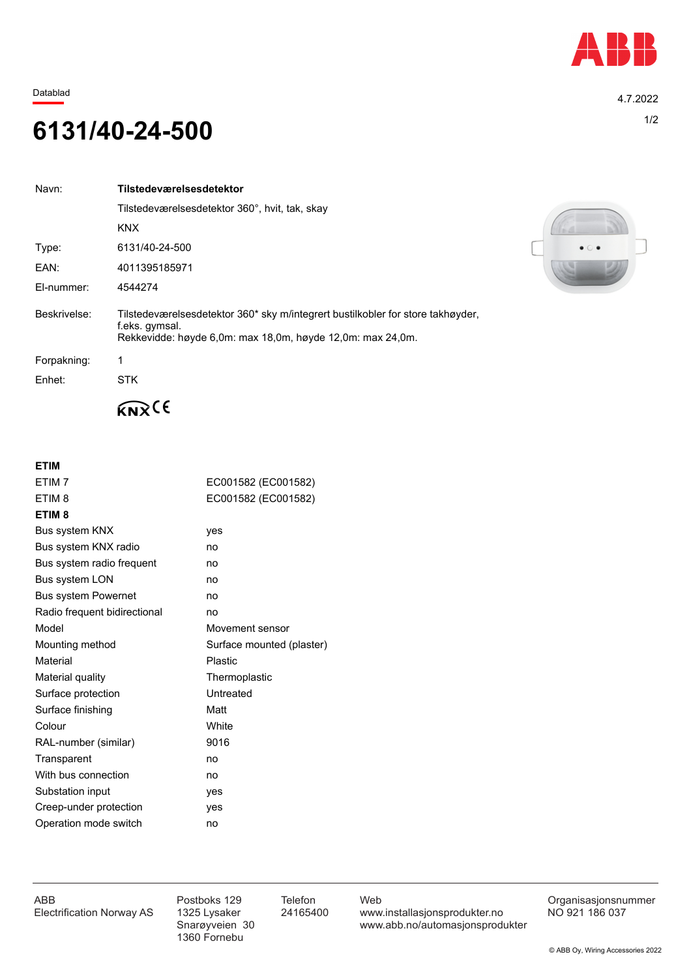

Datablad 4.7.2022

## 1/2 **6131/40-24-500**

| Navn:        | Tilstedeværelsesdetektor                                                                                                                                        |  |
|--------------|-----------------------------------------------------------------------------------------------------------------------------------------------------------------|--|
|              | Tilstedeværelsesdetektor 360°, hvit, tak, skay                                                                                                                  |  |
|              | <b>KNX</b>                                                                                                                                                      |  |
| Type:        | 6131/40-24-500                                                                                                                                                  |  |
| EAN:         | 4011395185971                                                                                                                                                   |  |
| El-nummer:   | 4544274                                                                                                                                                         |  |
| Beskrivelse: | Tilstedeværelsesdetektor 360* sky m/integrert bustilkobler for store takhøyder.<br>f.eks. gymsal.<br>Rekkevidde: høyde 6.0m: max 18.0m, høyde 12.0m: max 24.0m. |  |
| Forpakning:  |                                                                                                                                                                 |  |
| Enhet:       | <b>STK</b>                                                                                                                                                      |  |



## $K_{\mathbf{N}}(6)$

## **ETIM**

| ETIM <sub>7</sub>            | EC001582 (EC001582)       |  |
|------------------------------|---------------------------|--|
| ETIM <sub>8</sub>            | EC001582 (EC001582)       |  |
| ETIM <sub>8</sub>            |                           |  |
| Bus system KNX               | yes                       |  |
| Bus system KNX radio         | no                        |  |
| Bus system radio frequent    | no                        |  |
| Bus system LON               | no                        |  |
| <b>Bus system Powernet</b>   | no                        |  |
| Radio frequent bidirectional | no                        |  |
| Model                        | Movement sensor           |  |
| Mounting method              | Surface mounted (plaster) |  |
| Material                     | Plastic                   |  |
| Material quality             | Thermoplastic             |  |
| Surface protection           | Untreated                 |  |
| Surface finishing            | Matt                      |  |
| Colour                       | White                     |  |
| RAL-number (similar)         | 9016                      |  |
| Transparent                  | no                        |  |
| With bus connection          | no                        |  |
| Substation input             | yes                       |  |
| Creep-under protection       | ves                       |  |
| Operation mode switch        | no                        |  |

1360 Fornebu

ABB Postboks 129 Telefon Web Postboks 129 Telefon Web Crganisasjonsnummer<br>Electrification Norway AS 1325 Lysaker 24165400 www.installasjonsprodukter.no NO 921 186 037 1325 Lysaker 24165400 www.installasjonsprodukter.no<br>Snarøyveien 30 www.abb.no/automasjonsprodu www.abb.no/automasjonsprodukter